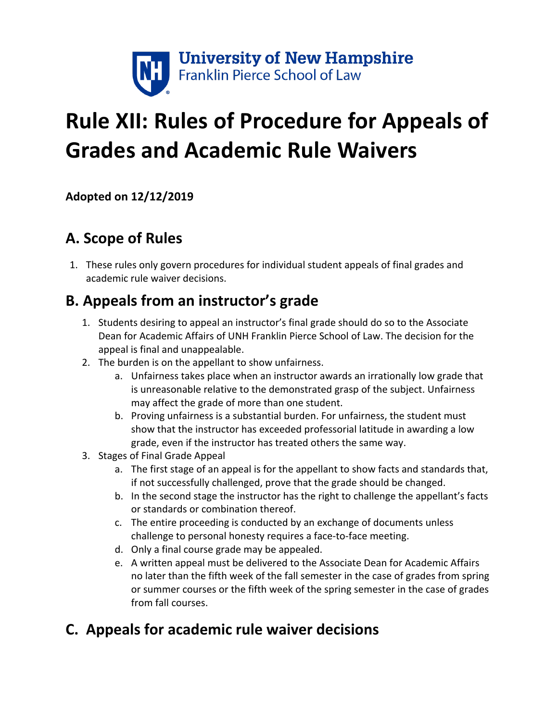

# **Rule XII: Rules of Procedure for Appeals of Grades and Academic Rule Waivers**

**Adopted on 12/12/2019**

# **A. Scope of Rules**

1. These rules only govern procedures for individual student appeals of final grades and academic rule waiver decisions.

## **B. Appeals from an instructor's grade**

- 1. Students desiring to appeal an instructor's final grade should do so to the Associate Dean for Academic Affairs of UNH Franklin Pierce School of Law. The decision for the appeal is final and unappealable.
- 2. The burden is on the appellant to show unfairness.
	- a. Unfairness takes place when an instructor awards an irrationally low grade that is unreasonable relative to the demonstrated grasp of the subject. Unfairness may affect the grade of more than one student.
	- b. Proving unfairness is a substantial burden. For unfairness, the student must show that the instructor has exceeded professorial latitude in awarding a low grade, even if the instructor has treated others the same way.
- 3. Stages of Final Grade Appeal
	- a. The first stage of an appeal is for the appellant to show facts and standards that, if not successfully challenged, prove that the grade should be changed.
	- b. In the second stage the instructor has the right to challenge the appellant's facts or standards or combination thereof.
	- c. The entire proceeding is conducted by an exchange of documents unless challenge to personal honesty requires a face-to-face meeting.
	- d. Only a final course grade may be appealed.
	- e. A written appeal must be delivered to the Associate Dean for Academic Affairs no later than the fifth week of the fall semester in the case of grades from spring or summer courses or the fifth week of the spring semester in the case of grades from fall courses.

#### **C. Appeals for academic rule waiver decisions**